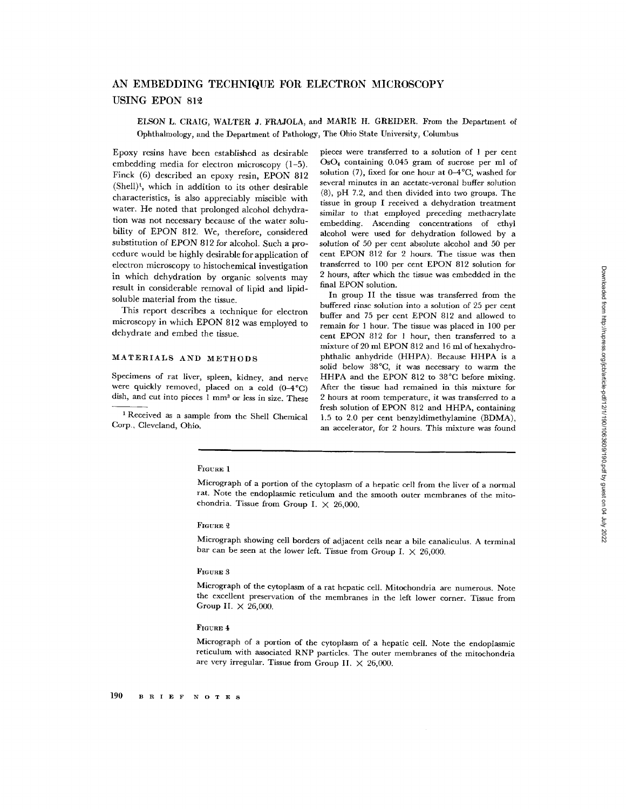# **AN EMBEDDING TECHNIQUE FOR ELECTRON MICROSCOPY USING EPON 812**

ELSON L. CRAIG, WALTER J. FRAJOLA, and MARIE H. GREIDER. From the Department of Ophthalmology, and the Department of Pathology, The Ohio State University, Columbus

Epoxy resins have been established as desirable embedding media for electron microscopy (1-5). Finck (6) described an epoxy resin, EPON 812  $(Shell)^t$ , which in addition to its other desirable characteristics, is also appreciably miscible with water. He noted that prolonged alcohol dehydration was not necessary because of the water solubility of EPON 812. We, therefore, considered substitution of EPON 812 for alcohol. Such a procedure would be highly desirable for application of electron microscopy to histochemical investigation in which dehydration by organic solvents may result in considerable removal of lipid and lipidsoluble material from the tissue.

This report describes a technique for electron microscopy in which EPON 812 was employed to dehydrate and embed the tissue.

## MATERIALS AND METHODS

Specimens of rat liver, spleen, kidney, and nerve were quickly removed, placed on a cold (0-4°C) dish, and cut into pieces 1 mm<sup>3</sup> or less in size. These

1 Received as a sample from the Shell Chemical Corp., Cleveland, Ohio.

pieces were transferred to a solution of 1 per cent OsO4 containing 0.045 gram of sucrose per ml of solution  $(7)$ , fixed for one hour at  $0-4^{\circ}$ C, washed for several minutes in an acetate-veronal buffer solution (8), pH 7.2, and then divided into two groups. The tissue in group I received a dehydration treatment similar to that employed preceding methacrylate embedding. Ascending concentrations of ethyl alcohol were used for dehydration followed by a solution of 50 per cent absolute alcohol and 50 per cent EPON 812 for 2 hours. The tissue was then transferred to 100 per cent EPON 812 solution for 2 hours, after which the tissue was embedded in the final EPON solution.

In group II the tissue was transferred from the buffered rinse solution into a solution of 25 per cent buffer and 75 per cent EPON 812 and allowed to remain for 1 hour. The tissue was placed in 100 per cent EPON 812 for 1 hour, then transferred to a mixture of 20 ml EPON 812 and 16 ml of hexahydrophthalic anhydride (HHPA). Because HHPA is a solid below 38°C, it was necessary to warm the HHPA and the EPON 812 to 38°C before mixing. After the tissue had remained in this mixture for 2 hours at room temperature, it was transferred to a fresh solution of EPON 812 and HHPA, containing 1.5 to 2.0 per cent benzyldimethylamine (BDMA), an accelerator, for 2 hours. This mixture was found

## FIGURE 1

Micrograph of a portion of the cytoplasm of a hepatic cell from the liver of a normal rat. Note the endoplasmic reticulum and the smooth outer membranes of the mitochondria. Tissue from Group I.  $\times$  26,000.

**FIGURE** 

Micrograph showing cell borders of adjacent cells near a bile canaliculus. A terminal bar can be seen at the lower left. Tissue from Group I.  $\times$  26,000.

## **FIGURE 3**

Micrograph of the cytoplasm of a rat hepatic cell. Mitochondria are numerous. Note the excellent preservation of the membranes in the left lower corner. Tissue from Group II.  $\times$  26,000.

## **FIGURE 4,**

Micrograph of a portion of the cytoplasm of a hepatic cell. Note the endoplasmic reticulum with associated RNP particles. The outer membranes of the mitochondria are very irregular. Tissue from Group II.  $\times$  26,000.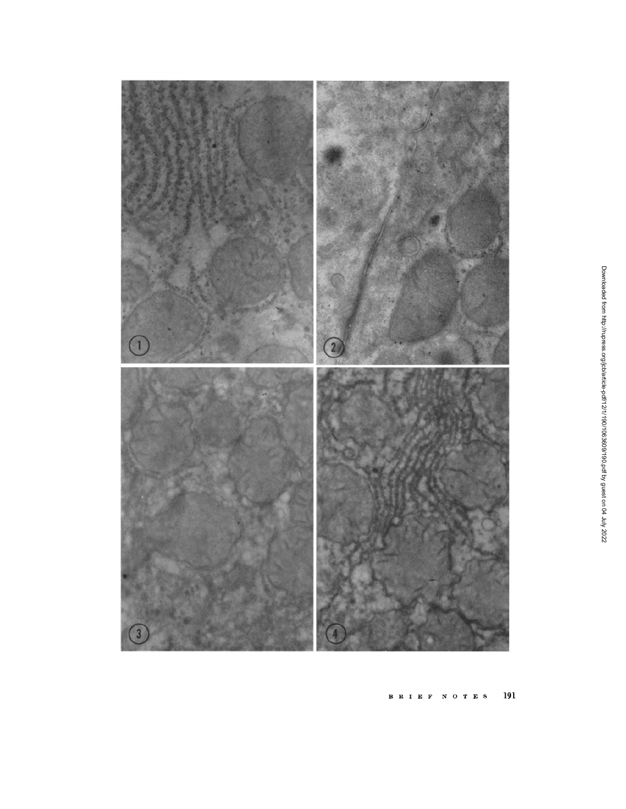

B R I E F N O T E S 191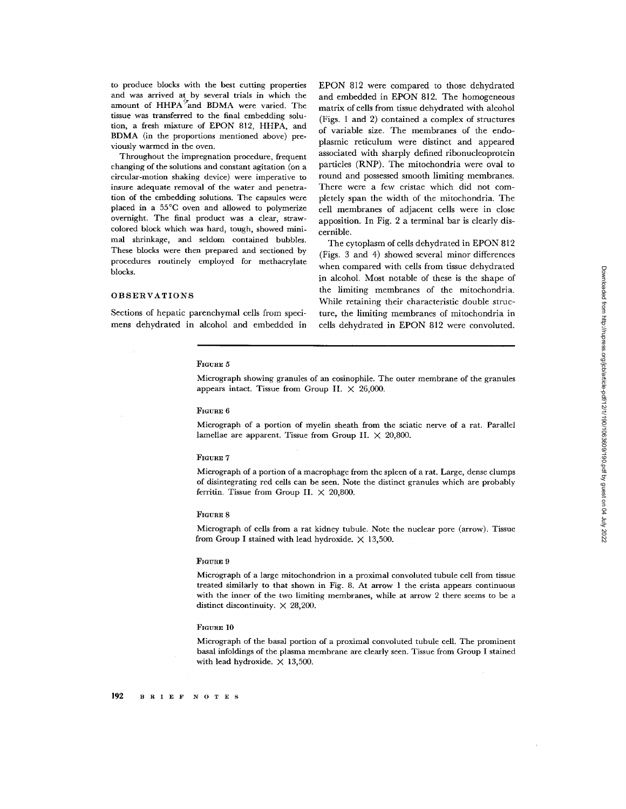Throughout the impregnation procedure, frequent changing of the solutions and constant agitation (on a circular-motion shaking device) were imperative to insure adequate removal of the water and penetration of the embedding solutions. The capsules were placed in a 55°C oven and allowed to polymerize overnight. The final product was a clear, strawcolored block which was hard, tough, showed minimal shrinkage, and seldom contained bubbles. These blocks were then prepared and sectioned by procedures routinely employed for methacrylate blocks.

## **OBSERVATIONS**

Sections of hepatic parenchymal cells from specimens dehydrated in alcohol and embedded in EPON 812 were compared to those dehydrated and embedded in EPON 812. The homogeneous matrix of cells from tissue dehydrated with alcohol (Figs. 1 and 2) contained a complex of structures of variable size. The membranes of the endoplasmic reticulum were distinct and appeared associated with sharply defined ribonucleoprotein particles (RNP). The mitochondria were oval to round and possessed smooth limiting membranes. There were a few cristae which did not completely span the width of the mitochondria. The cell membranes of adjacent cells were in close apposition. In Fig. 2 a terminal bar is clearly discernible.

The cytoplasm of cells dehydrated in EPON 812 (Figs. 3 and 4) showed several minor differences when compared with cells from tissue dehydrated in alcohol. Most notable of these is the shape of the limiting membranes of the mitochondria. While retaining their characteristic double structure, the limiting membranes of mitochondria in cells dehydrated in EPON 812 were convoluted.

### **FIGURE 5**

Micrograph showing granules of an eosinophile. The outer membrane of the granules appears intact. Tissue from Group II.  $\times$  26,000.

## **FIGURE 6**

Micrograph of a portion of myelin sheath from the sciatic nerve of a rat. Parallel lamellae are apparent. Tissue from Group II.  $\times$  20,800.

#### FIGURE 7

Micrograph of a portion of a macrophagc from the splcen of a rat. Large, dense clumps of disintegrating red cells can be seen. Note the distinct granules which are probably ferritin. Tissue from Group II.  $\times$  20,800.

#### FIGURE 8

Micrograph of cells from a rat kidney tubule. Note the nuclear pore (arrow). Tissue from Group I stained with lead hydroxide.  $\times$  13,500.

#### FIGURE **<sup>9</sup>**

Micrograph of a large mitochondrion in a proximal convoluted tubule cell from tissue treated similarly to that shown in Fig. 8. At arrow 1 the crista appears continuous with the inner of the two limiting membranes, while at arrow 2 there seems to be a distinct discontinuity.  $\times$  28,200.

#### FIGURE 10

Micrograph of the basal portion of a proximal convoluted tubule cell. The prominent basal infoldings of the plasma membrane are clearly seen. Tissue from Group I stained with lead hydroxide.  $\times$  13,500.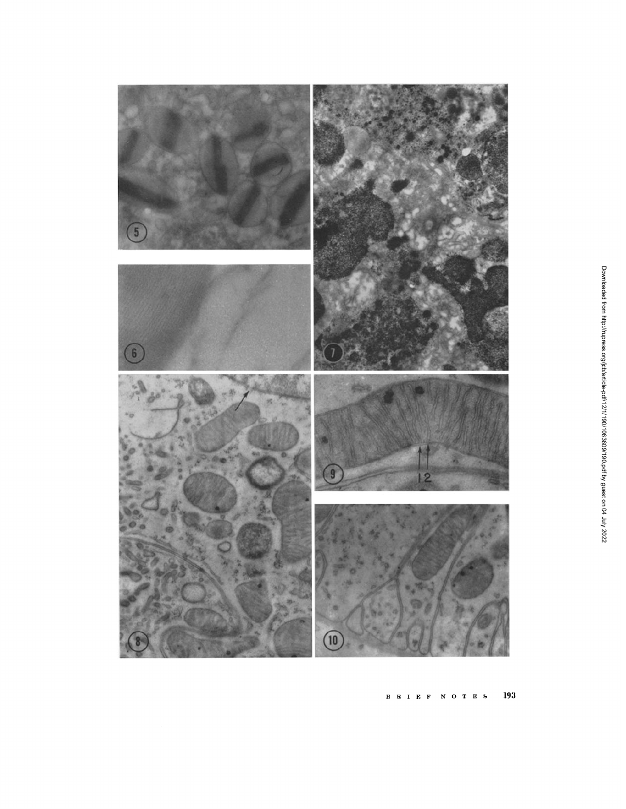

## B R I E F N O T E S 193